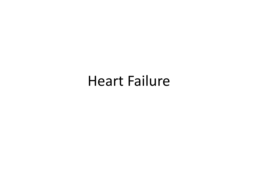# Heart Failure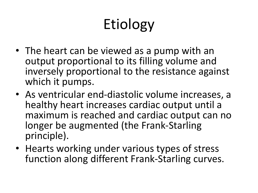# Etiology

- The heart can be viewed as a pump with an output proportional to its filling volume and inversely proportional to the resistance against which it pumps.
- As ventricular end-diastolic volume increases, a healthy heart increases cardiac output until a maximum is reached and cardiac output can no longer be augmented (the Frank-Starling principle).
- Hearts working under various types of stress function along different Frank-Starling curves.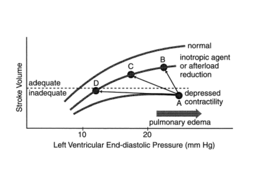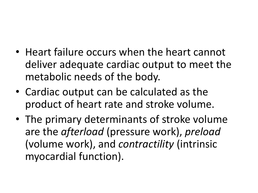- Heart failure occurs when the heart cannot deliver adequate cardiac output to meet the metabolic needs of the body.
- Cardiac output can be calculated as the product of heart rate and stroke volume.
- The primary determinants of stroke volume are the *afterload* (pressure work), *preload* (volume work), and *contractility* (intrinsic myocardial function).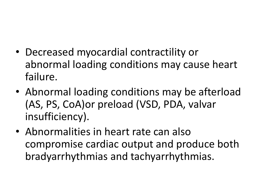- Decreased myocardial contractility or abnormal loading conditions may cause heart failure.
- Abnormal loading conditions may be afterload (AS, PS, CoA)or preload (VSD, PDA, valvar insufficiency).
- Abnormalities in heart rate can also compromise cardiac output and produce both bradyarrhythmias and tachyarrhythmias.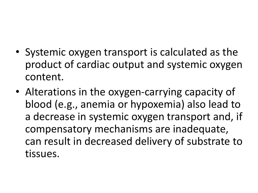- Systemic oxygen transport is calculated as the product of cardiac output and systemic oxygen content.
- Alterations in the oxygen-carrying capacity of blood (e.g., anemia or hypoxemia) also lead to a decrease in systemic oxygen transport and, if compensatory mechanisms are inadequate, can result in decreased delivery of substrate to tissues.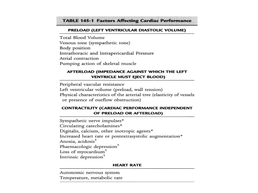#### **TABLE 145-1 Factors Affecting Cardiac Performance**

#### PRELOAD (LEFT VENTRICULAR DIASTOLIC VOLUME)

Total Blood Volume Venous tone (sympathetic tone) Body position Intrathoracic and Intrapericardial Pressure Atrial contraction Pumping action of skeletal muscle

#### AFTERLOAD (IMPEDANCE AGAINST WHICH THE LEFT **VENTRICLE MUST EJECT BLOOD)**

Peripheral vascular resistance Left ventricular volume (preload, wall tension) Physical characteristics of the arterial tree (elasticity of vessels or presence of outflow obstruction)

#### **CONTRACTILITY (CARDIAC PERFORMANCE INDEPENDENT** OF PRELOAD OR AFTERLOAD)

Sympathetic nerve impulses\* Circulating catecholamines\* Digitalis, calcium, other inotropic agents\* Increased heart rate or postextrasystolic augmentation\* Anoxia, acidosis<sup>†</sup> Pharmacologic depression<sup>†</sup> Loss of myocardium<sup>†</sup> Intrinsic depression<sup>†</sup>

#### **HEART RATE**

Autonomic nervous system Temperature, metabolic rate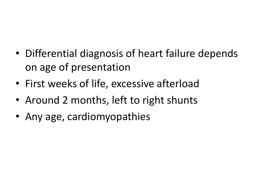- Differential diagnosis of heart failure depends on age of presentation
- First weeks of life, excessive afterload
- Around 2 months, left to right shunts
- Any age, cardiomyopathies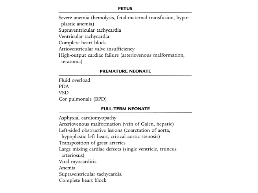#### **FETUS**

Severe anemia (hemolysis, fetal-maternal transfusion, hypoplastic anemia) Supraventricular tachycardia Ventricular tachycardia Complete heart block Atrioventricular valve insufficiency High-output cardiac failure (arteriovenous malformation, teratoma)

#### **PREMATURE NEONATE**

Fluid overload. **PDA VSD** Cor pulmonale (BPD)

#### **FULL-TERM NEONATE**

Asphyxial cardiomyopathy Arteriovenous malformation (vein of Galen, hepatic) Left-sided obstructive lesions (coarctation of aorta, hypoplastic left heart, critical aortic stenosis) Transposition of great arteries Large mixing cardiac defects (single ventricle, truncus arteriosus) Viral myocarditis Anemia Supraventricular tachycardia Complete heart block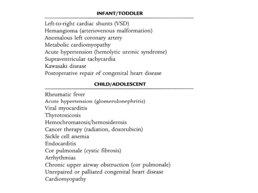### **INFANT/TODDLER**

Left-to-right cardiac shunts (VSD) Hemangioma (arteriovenous malformation) Anomalous left coronary artery Metabolic cardiomyopathy Acute hypertension (hemolytic uremic syndrome) Supraventricular tachycardia Kawasaki disease Postoperative repair of congenital heart disease

### **CHILD/ADOLESCENT**

Rheumatic fever Acute hypertension (glomerulonephritis) Viral myocarditis Thyrotoxicosis Hemochromatosis/hemosiderosis Cancer therapy (radiation, doxorubicin) Sickle cell anemia Endocarditis Cor pulmonale (cystic fibrosis) Arrhythmias Chronic upper airway obstruction (cor pulmonale) Unrepaired or palliated congenital heart disease Cardiomyopathy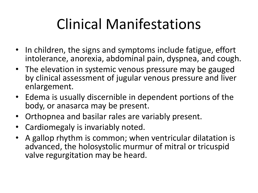# Clinical Manifestations

- In children, the signs and symptoms include fatigue, effort intolerance, anorexia, abdominal pain, dyspnea, and cough.
- The elevation in systemic venous pressure may be gauged by clinical assessment of jugular venous pressure and liver enlargement.
- Edema is usually discernible in dependent portions of the body, or anasarca may be present.
- Orthopnea and basilar rales are variably present.
- Cardiomegaly is invariably noted.
- A gallop rhythm is common; when ventricular dilatation is advanced, the holosystolic murmur of mitral or tricuspid valve regurgitation may be heard.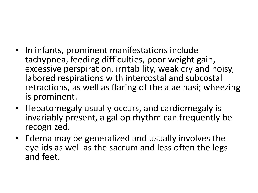- In infants, prominent manifestations include tachypnea, feeding difficulties, poor weight gain, excessive perspiration, irritability, weak cry and noisy, labored respirations with intercostal and subcostal retractions, as well as flaring of the alae nasi; wheezing is prominent.
- Hepatomegaly usually occurs, and cardiomegaly is invariably present, a gallop rhythm can frequently be recognized.
- Edema may be generalized and usually involves the eyelids as well as the sacrum and less often the legs and feet.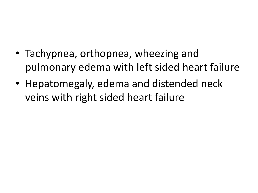- Tachypnea, orthopnea, wheezing and pulmonary edema with left sided heart failure
- Hepatomegaly, edema and distended neck veins with right sided heart failure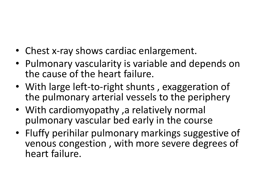- Chest x-ray shows cardiac enlargement.
- Pulmonary vascularity is variable and depends on the cause of the heart failure.
- With large left-to-right shunts, exaggeration of the pulmonary arterial vessels to the periphery
- With cardiomyopathy ,a relatively normal pulmonary vascular bed early in the course
- Fluffy perihilar pulmonary markings suggestive of venous congestion , with more severe degrees of heart failure.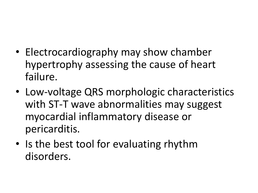- Electrocardiography may show chamber hypertrophy assessing the cause of heart failure.
- Low-voltage QRS morphologic characteristics with ST-T wave abnormalities may suggest myocardial inflammatory disease or pericarditis.
- Is the best tool for evaluating rhythm disorders.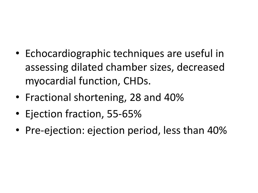- Echocardiographic techniques are useful in assessing dilated chamber sizes, decreased myocardial function, CHDs.
- Fractional shortening, 28 and 40%
- Ejection fraction, 55-65%
- Pre-ejection: ejection period, less than 40%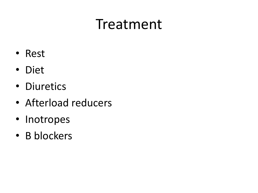# Treatment

- Rest
- Diet
- Diuretics
- Afterload reducers
- Inotropes
- Β blockers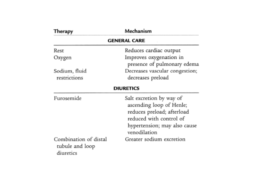| Therapy                                               | Mechanism                                                                                                                                                     |  |
|-------------------------------------------------------|---------------------------------------------------------------------------------------------------------------------------------------------------------------|--|
| <b>GENERAL CARE</b>                                   |                                                                                                                                                               |  |
| Rest                                                  | Reduces cardiac output                                                                                                                                        |  |
| Oxygen                                                | Improves oxygenation in<br>presence of pulmonary edema                                                                                                        |  |
| Sodium, fluid                                         | Decreases vascular congestion;                                                                                                                                |  |
| restrictions                                          | decreases preload                                                                                                                                             |  |
|                                                       | <b>DIURETICS</b>                                                                                                                                              |  |
| Furosemide                                            | Salt excretion by way of<br>ascending loop of Henle;<br>reduces preload; afterload<br>reduced with control of<br>hypertension; may also cause<br>venodilation |  |
| Combination of distal<br>tubule and loop<br>diuretics | Greater sodium excretion                                                                                                                                      |  |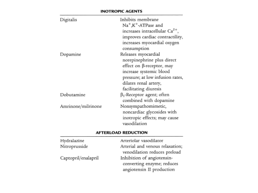#### **INOTROPIC AGENTS**

| Digitalis          | Inhibits membrane<br>Na <sup>+</sup> ,K <sup>+</sup> -ATPase and<br>increases intracellular Ca <sup>2+</sup> ,<br>improves cardiac contractility,<br>increases myocardial oxygen<br>consumption |
|--------------------|-------------------------------------------------------------------------------------------------------------------------------------------------------------------------------------------------|
| Dopamine           | Releases myocardial<br>norepinephrine plus direct<br>effect on β-receptor, may<br>increase systemic blood<br>pressure; at low infusion rates,<br>dilates renal artery,<br>facilitating diuresis |
| Dobutamine         | $\beta_1$ -Receptor agent; often<br>combined with dopamine                                                                                                                                      |
| Amrinone/milrinone | Nonsympathomimetic,<br>noncardiac glycosides with<br>inotropic effects; may cause<br>vasodilation                                                                                               |

#### **AFTERLOAD REDUCTION**

| Hydralazine         | Arteriolar vasodilator          |
|---------------------|---------------------------------|
| Nitroprusside       | Arterial and venous relaxation; |
|                     | venodilation reduces preload    |
| Captopril/enalapril | Inhibition of angiotensin-      |
|                     | converting enzyme; reduces      |
|                     | angiotensin II production       |